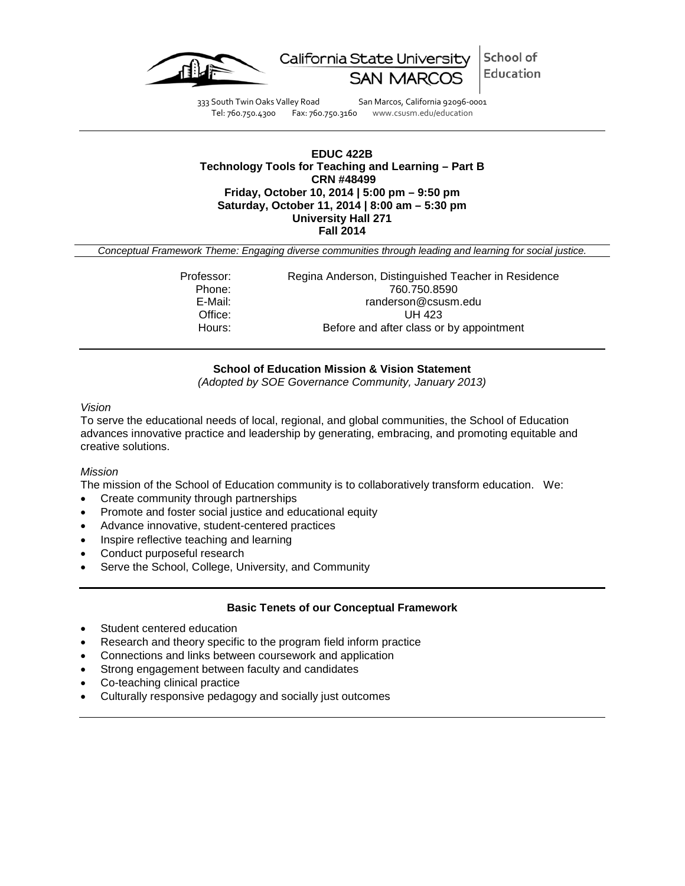



333 South Twin Oaks Valley Road San Marcos, California 92096-0001 Tel: 760.750.4300 Fax: 760.750.3160 www.csusm.edu/education

# **EDUC 422B Technology Tools for Teaching and Learning – Part B CRN #48499**

**Friday, October 10, 2014 | 5:00 pm – 9:50 pm Saturday, October 11, 2014 | 8:00 am – 5:30 pm University Hall 271 Fall 2014**

*Conceptual Framework Theme: Engaging diverse communities through leading and learning for social justice.*

Professor: Regina Anderson, Distinguished Teacher in Residence Phone: 760.750.8590<br>E-Mail: 760.750.8590 E-Mail: E-Mail: randerson@csusm.edu<br>Office: UH 423 **UH 423** Hours: Before and after class or by appointment

#### **School of Education Mission & Vision Statement**

*(Adopted by SOE Governance Community, January 2013)*

#### *Vision*

To serve the educational needs of local, regional, and global communities, the School of Education advances innovative practice and leadership by generating, embracing, and promoting equitable and creative solutions.

#### *Mission*

The mission of the School of Education community is to collaboratively transform education. We:

- Create community through partnerships
- Promote and foster social justice and educational equity
- Advance innovative, student-centered practices
- Inspire reflective teaching and learning
- Conduct purposeful research
- Serve the School, College, University, and Community

#### **Basic Tenets of our Conceptual Framework**

- Student centered education
- Research and theory specific to the program field inform practice
- Connections and links between coursework and application
- Strong engagement between faculty and candidates
- Co-teaching clinical practice
- Culturally responsive pedagogy and socially just outcomes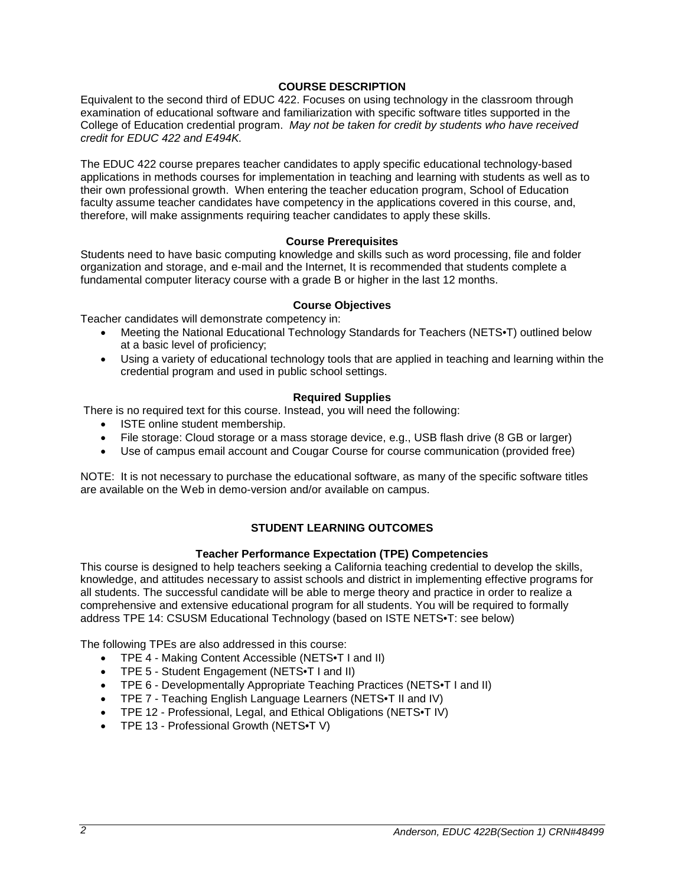## **COURSE DESCRIPTION**

Equivalent to the second third of EDUC 422. Focuses on using technology in the classroom through examination of educational software and familiarization with specific software titles supported in the College of Education credential program. *May not be taken for credit by students who have received credit for EDUC 422 and E494K.*

The EDUC 422 course prepares teacher candidates to apply specific educational technology-based applications in methods courses for implementation in teaching and learning with students as well as to their own professional growth. When entering the teacher education program, School of Education faculty assume teacher candidates have competency in the applications covered in this course, and, therefore, will make assignments requiring teacher candidates to apply these skills.

#### **Course Prerequisites**

Students need to have basic computing knowledge and skills such as word processing, file and folder organization and storage, and e-mail and the Internet, It is recommended that students complete a fundamental computer literacy course with a grade B or higher in the last 12 months.

#### **Course Objectives**

Teacher candidates will demonstrate competency in:

- Meeting the National Educational Technology Standards for Teachers (NETS•T) outlined below at a basic level of proficiency;
- Using a variety of educational technology tools that are applied in teaching and learning within the credential program and used in public school settings.

#### **Required Supplies**

There is no required text for this course. Instead, you will need the following:

- ISTE online student membership.
- File storage: Cloud storage or a mass storage device, e.g., USB flash drive (8 GB or larger)
- Use of campus email account and Cougar Course for course communication (provided free)

NOTE: It is not necessary to purchase the educational software, as many of the specific software titles are available on the Web in demo-version and/or available on campus.

#### **STUDENT LEARNING OUTCOMES**

#### **Teacher Performance Expectation (TPE) Competencies**

This course is designed to help teachers seeking a California teaching credential to develop the skills, knowledge, and attitudes necessary to assist schools and district in implementing effective programs for all students. The successful candidate will be able to merge theory and practice in order to realize a comprehensive and extensive educational program for all students. You will be required to formally address TPE 14: CSUSM Educational Technology (based on ISTE NETS•T: see below)

The following TPEs are also addressed in this course:

- TPE 4 Making Content Accessible (NETS•T I and II)
- TPE 5 Student Engagement (NETS•T I and II)
- TPE 6 Developmentally Appropriate Teaching Practices (NETS•T I and II)
- TPE 7 Teaching English Language Learners (NETS•T II and IV)
- TPE 12 Professional, Legal, and Ethical Obligations (NETS T IV)
- TPE 13 Professional Growth (NETS•T V)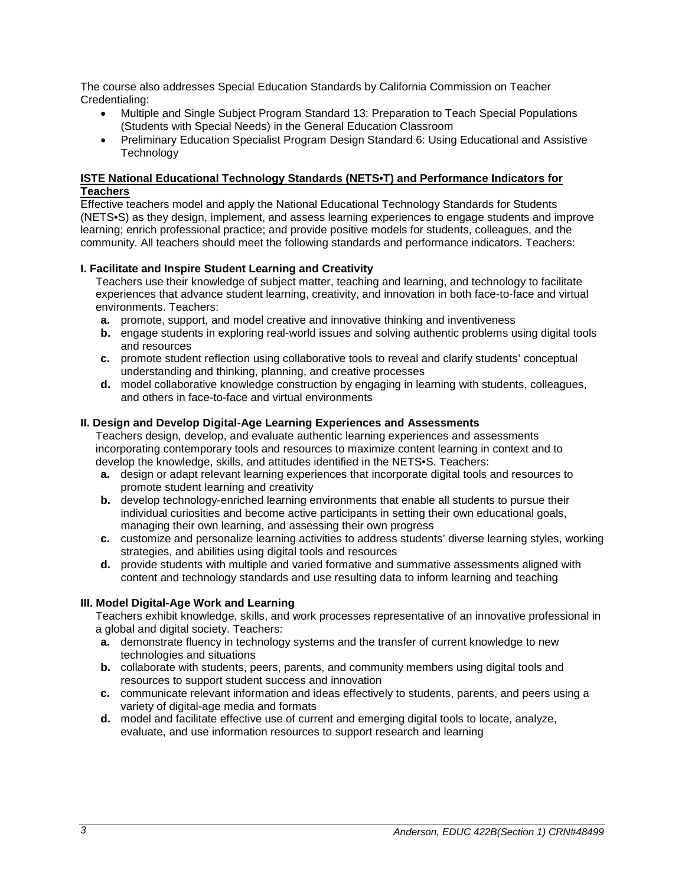The course also addresses Special Education Standards by California Commission on Teacher Credentialing:

- Multiple and Single Subject Program Standard 13: Preparation to Teach Special Populations (Students with Special Needs) in the General Education Classroom
- Preliminary Education Specialist Program Design Standard 6: Using Educational and Assistive **Technology**

## **ISTE National Educational Technology Standards (NETS•T) and Performance Indicators for Teachers**

Effective teachers model and apply the National Educational Technology Standards for Students (NETS•S) as they design, implement, and assess learning experiences to engage students and improve learning; enrich professional practice; and provide positive models for students, colleagues, and the community. All teachers should meet the following standards and performance indicators. Teachers:

# **I. Facilitate and Inspire Student Learning and Creativity**

Teachers use their knowledge of subject matter, teaching and learning, and technology to facilitate experiences that advance student learning, creativity, and innovation in both face-to-face and virtual environments. Teachers:

- **a.** promote, support, and model creative and innovative thinking and inventiveness
- **b.** engage students in exploring real-world issues and solving authentic problems using digital tools and resources
- **c.** promote student reflection using collaborative tools to reveal and clarify students' conceptual understanding and thinking, planning, and creative processes
- **d.** model collaborative knowledge construction by engaging in learning with students, colleagues, and others in face-to-face and virtual environments

# **II. Design and Develop Digital-Age Learning Experiences and Assessments**

Teachers design, develop, and evaluate authentic learning experiences and assessments incorporating contemporary tools and resources to maximize content learning in context and to develop the knowledge, skills, and attitudes identified in the NETS•S. Teachers:

- **a.** design or adapt relevant learning experiences that incorporate digital tools and resources to promote student learning and creativity
- **b.** develop technology-enriched learning environments that enable all students to pursue their individual curiosities and become active participants in setting their own educational goals, managing their own learning, and assessing their own progress
- **c.** customize and personalize learning activities to address students' diverse learning styles, working strategies, and abilities using digital tools and resources
- **d.** provide students with multiple and varied formative and summative assessments aligned with content and technology standards and use resulting data to inform learning and teaching

## **III. Model Digital-Age Work and Learning**

Teachers exhibit knowledge, skills, and work processes representative of an innovative professional in a global and digital society. Teachers:

- **a.** demonstrate fluency in technology systems and the transfer of current knowledge to new technologies and situations
- **b.** collaborate with students, peers, parents, and community members using digital tools and resources to support student success and innovation
- **c.** communicate relevant information and ideas effectively to students, parents, and peers using a variety of digital-age media and formats
- **d.** model and facilitate effective use of current and emerging digital tools to locate, analyze, evaluate, and use information resources to support research and learning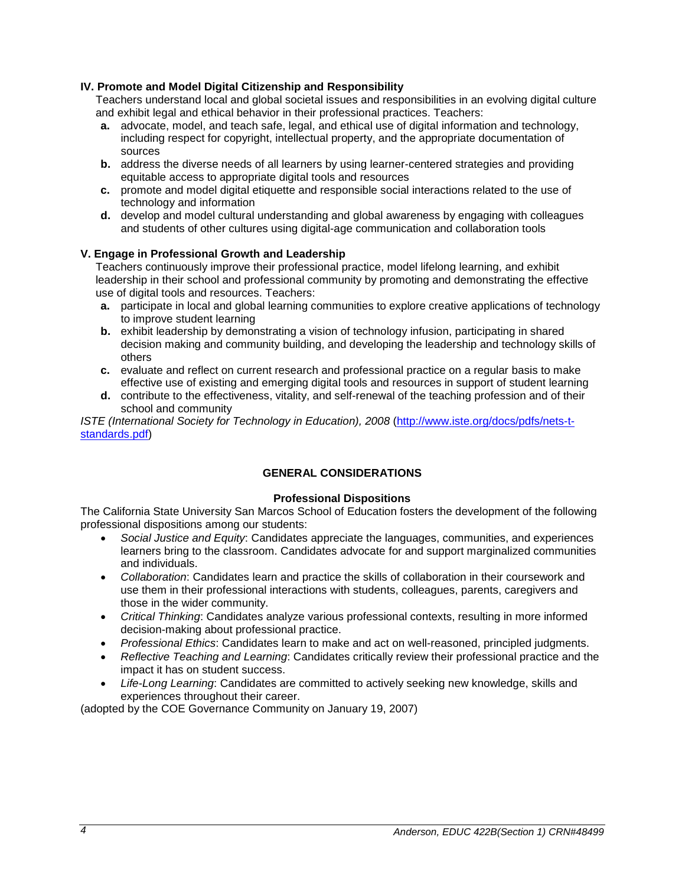## **IV. Promote and Model Digital Citizenship and Responsibility**

Teachers understand local and global societal issues and responsibilities in an evolving digital culture and exhibit legal and ethical behavior in their professional practices. Teachers:

- **a.** advocate, model, and teach safe, legal, and ethical use of digital information and technology, including respect for copyright, intellectual property, and the appropriate documentation of sources
- **b.** address the diverse needs of all learners by using learner-centered strategies and providing equitable access to appropriate digital tools and resources
- **c.** promote and model digital etiquette and responsible social interactions related to the use of technology and information
- **d.** develop and model cultural understanding and global awareness by engaging with colleagues and students of other cultures using digital-age communication and collaboration tools

#### **V. Engage in Professional Growth and Leadership**

Teachers continuously improve their professional practice, model lifelong learning, and exhibit leadership in their school and professional community by promoting and demonstrating the effective use of digital tools and resources. Teachers:

- **a.** participate in local and global learning communities to explore creative applications of technology to improve student learning
- **b.** exhibit leadership by demonstrating a vision of technology infusion, participating in shared decision making and community building, and developing the leadership and technology skills of others
- **c.** evaluate and reflect on current research and professional practice on a regular basis to make effective use of existing and emerging digital tools and resources in support of student learning
- **d.** contribute to the effectiveness, vitality, and self-renewal of the teaching profession and of their school and community

*ISTE (International Society for Technology in Education), 2008* [\(http://www.iste.org/docs/pdfs/nets-t](http://www.iste.org/docs/pdfs/nets-t-standards.pdf)[standards.pdf\)](http://www.iste.org/docs/pdfs/nets-t-standards.pdf)

## **GENERAL CONSIDERATIONS**

## **Professional Dispositions**

The California State University San Marcos School of Education fosters the development of the following professional dispositions among our students:

- *Social Justice and Equity*: Candidates appreciate the languages, communities, and experiences learners bring to the classroom. Candidates advocate for and support marginalized communities and individuals.
- *Collaboration*: Candidates learn and practice the skills of collaboration in their coursework and use them in their professional interactions with students, colleagues, parents, caregivers and those in the wider community.
- *Critical Thinking*: Candidates analyze various professional contexts, resulting in more informed decision-making about professional practice.
- *Professional Ethics*: Candidates learn to make and act on well-reasoned, principled judgments.
- *Reflective Teaching and Learning*: Candidates critically review their professional practice and the impact it has on student success.
- *Life-Long Learning*: Candidates are committed to actively seeking new knowledge, skills and experiences throughout their career.

(adopted by the COE Governance Community on January 19, 2007)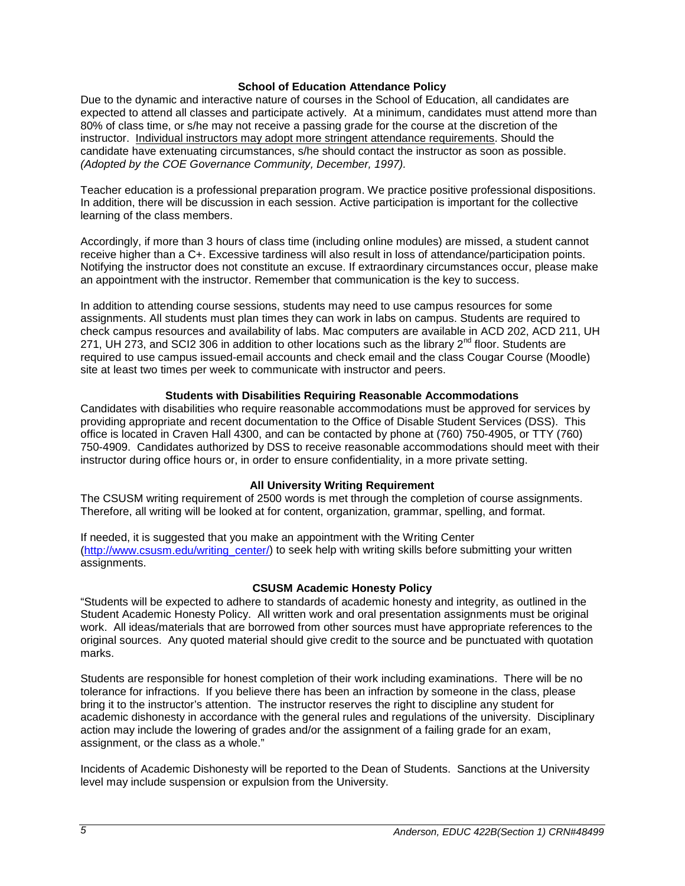#### **School of Education Attendance Policy**

Due to the dynamic and interactive nature of courses in the School of Education, all candidates are expected to attend all classes and participate actively. At a minimum, candidates must attend more than 80% of class time, or s/he may not receive a passing grade for the course at the discretion of the instructor. Individual instructors may adopt more stringent attendance requirements. Should the candidate have extenuating circumstances, s/he should contact the instructor as soon as possible. *(Adopted by the COE Governance Community, December, 1997).*

Teacher education is a professional preparation program. We practice positive professional dispositions. In addition, there will be discussion in each session. Active participation is important for the collective learning of the class members.

Accordingly, if more than 3 hours of class time (including online modules) are missed, a student cannot receive higher than a C+. Excessive tardiness will also result in loss of attendance/participation points. Notifying the instructor does not constitute an excuse. If extraordinary circumstances occur, please make an appointment with the instructor. Remember that communication is the key to success.

In addition to attending course sessions, students may need to use campus resources for some assignments. All students must plan times they can work in labs on campus. Students are required to check campus resources and availability of labs. Mac computers are available in ACD 202, ACD 211, UH 271, UH 273, and SCI2 306 in addition to other locations such as the library  $2<sup>nd</sup>$  floor. Students are required to use campus issued-email accounts and check email and the class Cougar Course (Moodle) site at least two times per week to communicate with instructor and peers.

#### **Students with Disabilities Requiring Reasonable Accommodations**

Candidates with disabilities who require reasonable accommodations must be approved for services by providing appropriate and recent documentation to the Office of Disable Student Services (DSS). This office is located in Craven Hall 4300, and can be contacted by phone at (760) 750-4905, or TTY (760) 750-4909. Candidates authorized by DSS to receive reasonable accommodations should meet with their instructor during office hours or, in order to ensure confidentiality, in a more private setting.

## **All University Writing Requirement**

The CSUSM writing requirement of 2500 words is met through the completion of course assignments. Therefore, all writing will be looked at for content, organization, grammar, spelling, and format.

If needed, it is suggested that you make an appointment with the Writing Center [\(http://www.csusm.edu/writing\\_center/\)](http://www.csusm.edu/writing_center/) to seek help with writing skills before submitting your written assignments.

#### **CSUSM Academic Honesty Policy**

"Students will be expected to adhere to standards of academic honesty and integrity, as outlined in the Student Academic Honesty Policy. All written work and oral presentation assignments must be original work. All ideas/materials that are borrowed from other sources must have appropriate references to the original sources. Any quoted material should give credit to the source and be punctuated with quotation marks.

Students are responsible for honest completion of their work including examinations. There will be no tolerance for infractions. If you believe there has been an infraction by someone in the class, please bring it to the instructor's attention. The instructor reserves the right to discipline any student for academic dishonesty in accordance with the general rules and regulations of the university. Disciplinary action may include the lowering of grades and/or the assignment of a failing grade for an exam, assignment, or the class as a whole."

Incidents of Academic Dishonesty will be reported to the Dean of Students. Sanctions at the University level may include suspension or expulsion from the University.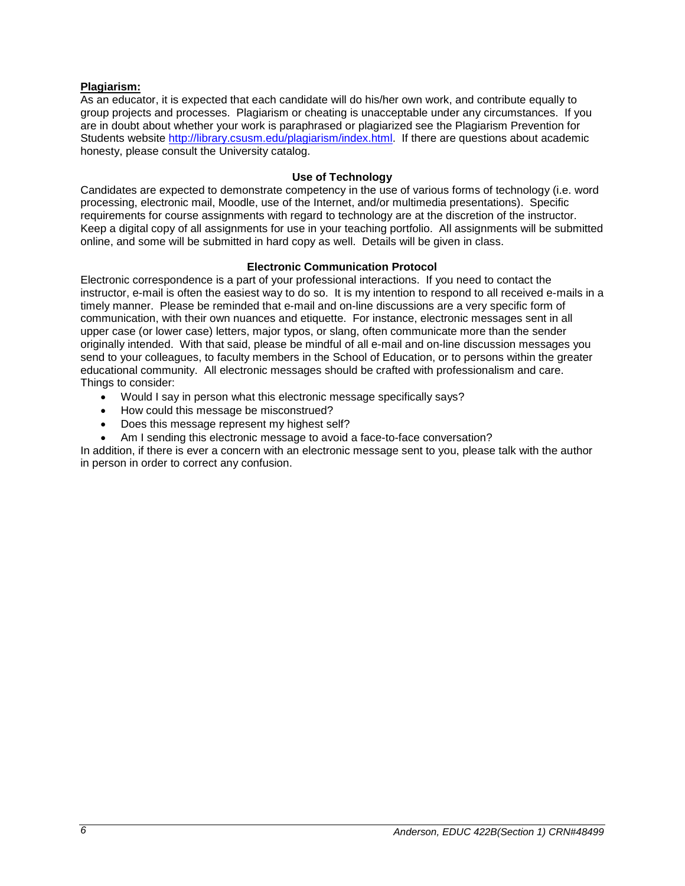## **Plagiarism:**

As an educator, it is expected that each candidate will do his/her own work, and contribute equally to group projects and processes. Plagiarism or cheating is unacceptable under any circumstances. If you are in doubt about whether your work is paraphrased or plagiarized see the Plagiarism Prevention for Students website [http://library.csusm.edu/plagiarism/index.html.](http://library.csusm.edu/plagiarism/index.html) If there are questions about academic honesty, please consult the University catalog.

#### **Use of Technology**

Candidates are expected to demonstrate competency in the use of various forms of technology (i.e. word processing, electronic mail, Moodle, use of the Internet, and/or multimedia presentations). Specific requirements for course assignments with regard to technology are at the discretion of the instructor. Keep a digital copy of all assignments for use in your teaching portfolio. All assignments will be submitted online, and some will be submitted in hard copy as well. Details will be given in class.

## **Electronic Communication Protocol**

Electronic correspondence is a part of your professional interactions. If you need to contact the instructor, e-mail is often the easiest way to do so. It is my intention to respond to all received e-mails in a timely manner. Please be reminded that e-mail and on-line discussions are a very specific form of communication, with their own nuances and etiquette. For instance, electronic messages sent in all upper case (or lower case) letters, major typos, or slang, often communicate more than the sender originally intended. With that said, please be mindful of all e-mail and on-line discussion messages you send to your colleagues, to faculty members in the School of Education, or to persons within the greater educational community. All electronic messages should be crafted with professionalism and care. Things to consider:

- Would I say in person what this electronic message specifically says?
- How could this message be misconstrued?
- Does this message represent my highest self?
- Am I sending this electronic message to avoid a face-to-face conversation?

In addition, if there is ever a concern with an electronic message sent to you, please talk with the author in person in order to correct any confusion.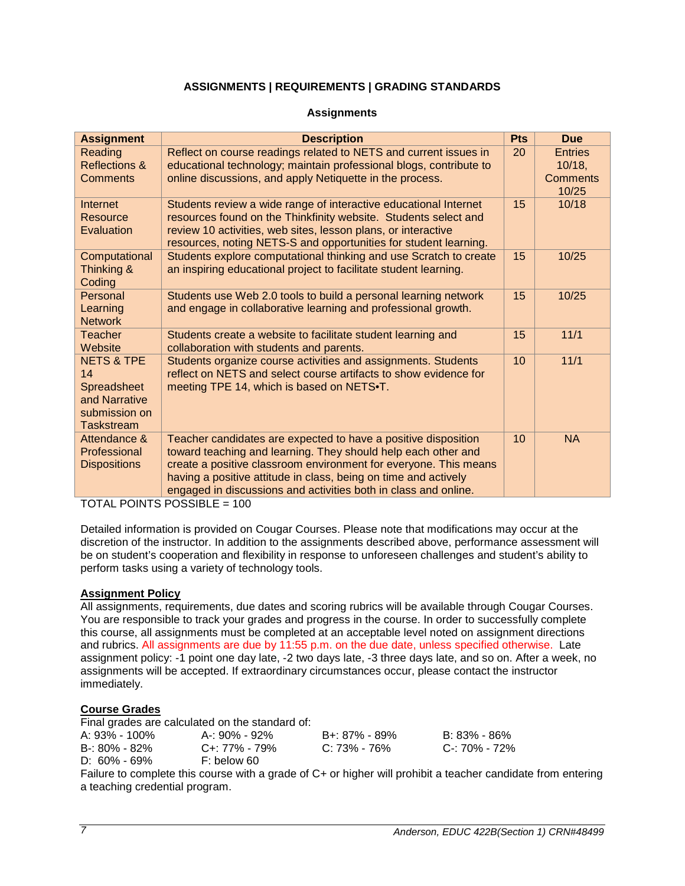# **ASSIGNMENTS | REQUIREMENTS | GRADING STANDARDS**

#### **Assignments**

| <b>Assignment</b>                                                                          | <b>Description</b>                                                                                                                                                                                                                                                                                                                        | <b>Pts</b> | <b>Due</b>                  |
|--------------------------------------------------------------------------------------------|-------------------------------------------------------------------------------------------------------------------------------------------------------------------------------------------------------------------------------------------------------------------------------------------------------------------------------------------|------------|-----------------------------|
| Reading<br><b>Reflections &amp;</b>                                                        | Reflect on course readings related to NETS and current issues in<br>educational technology; maintain professional blogs, contribute to                                                                                                                                                                                                    | 20         | <b>Entries</b><br>$10/18$ . |
| <b>Comments</b>                                                                            | online discussions, and apply Netiquette in the process.                                                                                                                                                                                                                                                                                  |            | <b>Comments</b><br>10/25    |
| Internet<br>Resource<br>Evaluation                                                         | Students review a wide range of interactive educational Internet<br>resources found on the Thinkfinity website. Students select and<br>review 10 activities, web sites, lesson plans, or interactive<br>resources, noting NETS-S and opportunities for student learning.                                                                  | 15         | 10/18                       |
| Computational<br>Thinking &<br>Coding                                                      | Students explore computational thinking and use Scratch to create<br>an inspiring educational project to facilitate student learning.                                                                                                                                                                                                     | 15         | 10/25                       |
| Personal<br>Learning<br><b>Network</b>                                                     | Students use Web 2.0 tools to build a personal learning network<br>and engage in collaborative learning and professional growth.                                                                                                                                                                                                          | 15         | 10/25                       |
| <b>Teacher</b><br>Website                                                                  | Students create a website to facilitate student learning and<br>collaboration with students and parents.                                                                                                                                                                                                                                  | 15         | 11/1                        |
| <b>NETS &amp; TPE</b><br>14<br>Spreadsheet<br>and Narrative<br>submission on<br>Taskstream | Students organize course activities and assignments. Students<br>reflect on NETS and select course artifacts to show evidence for<br>meeting TPE 14, which is based on NETS.T.                                                                                                                                                            | 10         | 11/1                        |
| Attendance &<br>Professional<br><b>Dispositions</b>                                        | Teacher candidates are expected to have a positive disposition<br>toward teaching and learning. They should help each other and<br>create a positive classroom environment for everyone. This means<br>having a positive attitude in class, being on time and actively<br>engaged in discussions and activities both in class and online. | 10         | <b>NA</b>                   |

TOTAL POINTS POSSIBLE = 100

Detailed information is provided on Cougar Courses. Please note that modifications may occur at the discretion of the instructor. In addition to the assignments described above, performance assessment will be on student's cooperation and flexibility in response to unforeseen challenges and student's ability to perform tasks using a variety of technology tools.

## **Assignment Policy**

All assignments, requirements, due dates and scoring rubrics will be available through Cougar Courses. You are responsible to track your grades and progress in the course. In order to successfully complete this course, all assignments must be completed at an acceptable level noted on assignment directions and rubrics. All assignments are due by 11:55 p.m. on the due date, unless specified otherwise. Late assignment policy: -1 point one day late, -2 two days late, -3 three days late, and so on. After a week, no assignments will be accepted. If extraordinary circumstances occur, please contact the instructor immediately.

## **Course Grades**

|                  | Final grades are calculated on the standard of:                                                            |               |               |
|------------------|------------------------------------------------------------------------------------------------------------|---------------|---------------|
| A: 93% - 100%    | A-: 90% - 92%                                                                                              | B+: 87% - 89% | B: 83% - 86%  |
| B-: 80% - 82%    | $C_{+}$ : 77% - 79%                                                                                        | C: 73% - 76%  | C-: 70% - 72% |
| $D: 60\% - 69\%$ | F: below 60                                                                                                |               |               |
|                  | Eailure to complete this course with a grade of $C_{\pm}$ or bigher will probibit a teacher candidate from |               |               |

compiete this course with a grade of C+ or higher will prohibit a teacher candidate from entering a teaching credential program.